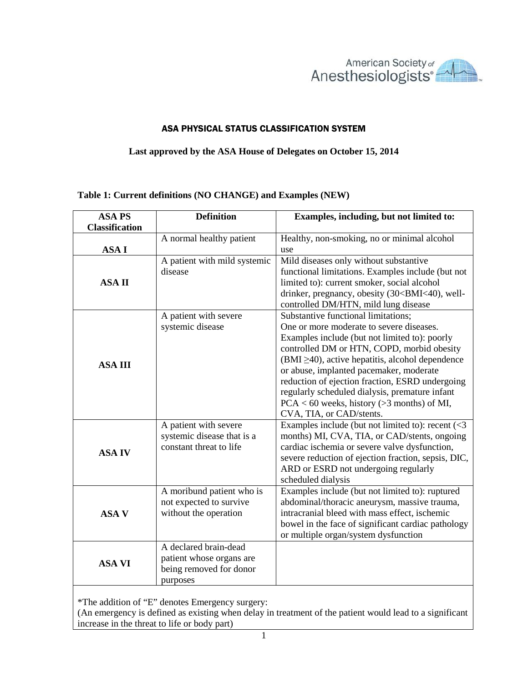

## ASA PHYSICAL STATUS CLASSIFICATION SYSTEM

## **Last approved by the ASA House of Delegates on October 15, 2014**

## **Table 1: Current definitions (NO CHANGE) and Examples (NEW)**

| <b>ASA PS</b>         | <b>Definition</b>                                                                        | Examples, including, but not limited to:                                                                                                                                                                                                                                                                                                                                                                                                                             |
|-----------------------|------------------------------------------------------------------------------------------|----------------------------------------------------------------------------------------------------------------------------------------------------------------------------------------------------------------------------------------------------------------------------------------------------------------------------------------------------------------------------------------------------------------------------------------------------------------------|
| <b>Classification</b> |                                                                                          |                                                                                                                                                                                                                                                                                                                                                                                                                                                                      |
|                       | A normal healthy patient                                                                 | Healthy, non-smoking, no or minimal alcohol                                                                                                                                                                                                                                                                                                                                                                                                                          |
| <b>ASAI</b>           |                                                                                          | use                                                                                                                                                                                                                                                                                                                                                                                                                                                                  |
| <b>ASAII</b>          | A patient with mild systemic<br>disease                                                  | Mild diseases only without substantive<br>functional limitations. Examples include (but not<br>limited to): current smoker, social alcohol<br>drinker, pregnancy, obesity (30 <bmi<40), well-<br="">controlled DM/HTN, mild lung disease</bmi<40),>                                                                                                                                                                                                                  |
| <b>ASA III</b>        | A patient with severe<br>systemic disease                                                | Substantive functional limitations;<br>One or more moderate to severe diseases.<br>Examples include (but not limited to): poorly<br>controlled DM or HTN, COPD, morbid obesity<br>$(BMI \ge 40)$ , active hepatitis, alcohol dependence<br>or abuse, implanted pacemaker, moderate<br>reduction of ejection fraction, ESRD undergoing<br>regularly scheduled dialysis, premature infant<br>$PCA < 60$ weeks, history (> 3 months) of MI,<br>CVA, TIA, or CAD/stents. |
| <b>ASA IV</b>         | A patient with severe<br>systemic disease that is a<br>constant threat to life           | Examples include (but not limited to): recent $\langle$ <3<br>months) MI, CVA, TIA, or CAD/stents, ongoing<br>cardiac ischemia or severe valve dysfunction,<br>severe reduction of ejection fraction, sepsis, DIC,<br>ARD or ESRD not undergoing regularly<br>scheduled dialysis                                                                                                                                                                                     |
| <b>ASA V</b>          | A moribund patient who is<br>not expected to survive<br>without the operation            | Examples include (but not limited to): ruptured<br>abdominal/thoracic aneurysm, massive trauma,<br>intracranial bleed with mass effect, ischemic<br>bowel in the face of significant cardiac pathology<br>or multiple organ/system dysfunction                                                                                                                                                                                                                       |
| <b>ASA VI</b>         | A declared brain-dead<br>patient whose organs are<br>being removed for donor<br>purposes |                                                                                                                                                                                                                                                                                                                                                                                                                                                                      |

\*The addition of "E" denotes Emergency surgery:

(An emergency is defined as existing when delay in treatment of the patient would lead to a significant increase in the threat to life or body part)